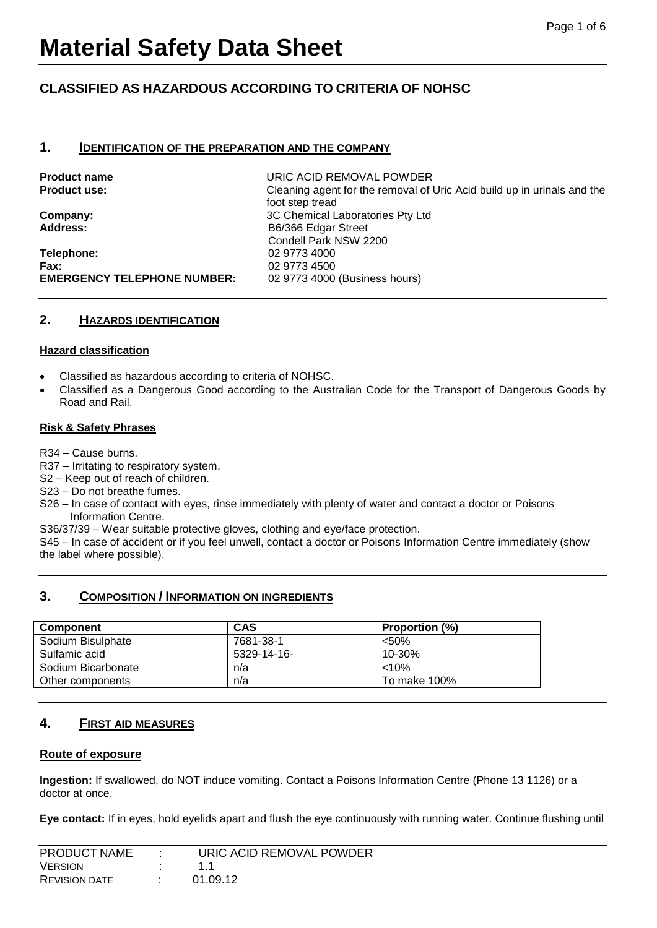# **CLASSIFIED AS HAZARDOUS ACCORDING TO CRITERIA OF NOHSC**

## **1. IDENTIFICATION OF THE PREPARATION AND THE COMPANY**

**Telephone:** 02 9773 4000 **Fax:** 02 9773 4500 **EMERGENCY TELEPHONE NUMBER:** 02 9773 4000 (Business hours)

**Product name** URIC ACID REMOVAL POWDER **Product use:** Cleaning agent for the removal of Uric Acid build up in urinals and the foot step tread **Company:** 3C Chemical Laboratories Pty Ltd Address: B6/366 Edgar Street Condell Park NSW 2200

## **2. HAZARDS IDENTIFICATION**

#### **Hazard classification**

- Classified as hazardous according to criteria of NOHSC.
- Classified as a Dangerous Good according to the Australian Code for the Transport of Dangerous Goods by Road and Rail.

#### **Risk & Safety Phrases**

R34 – Cause burns.

R37 – Irritating to respiratory system.

S2 – Keep out of reach of children.

S23 – Do not breathe fumes.

S26 – In case of contact with eyes, rinse immediately with plenty of water and contact a doctor or Poisons Information Centre.

S36/37/39 – Wear suitable protective gloves, clothing and eye/face protection.

S45 – In case of accident or if you feel unwell, contact a doctor or Poisons Information Centre immediately (show the label where possible).

# **3. COMPOSITION / INFORMATION ON INGREDIENTS**

| <b>Component</b>   | <b>CAS</b>  | <b>Proportion (%)</b> |
|--------------------|-------------|-----------------------|
| Sodium Bisulphate  | 7681-38-1   | < 50%                 |
| Sulfamic acid      | 5329-14-16- | $10 - 30%$            |
| Sodium Bicarbonate | n/a         | $< 10\%$              |
| Other components   | n/a         | To make 100%          |
|                    |             |                       |

### **4. FIRST AID MEASURES**

### **Route of exposure**

**Ingestion:** If swallowed, do NOT induce vomiting. Contact a Poisons Information Centre (Phone 13 1126) or a doctor at once.

**Eye contact:** If in eyes, hold eyelids apart and flush the eye continuously with running water. Continue flushing until

| <b>PRODUCT NAME</b>  | URIC ACID REMOVAL POWDER |
|----------------------|--------------------------|
|                      |                          |
| <b>VERSION</b>       |                          |
|                      |                          |
| <b>REVISION DATE</b> | 01.09.12                 |
|                      |                          |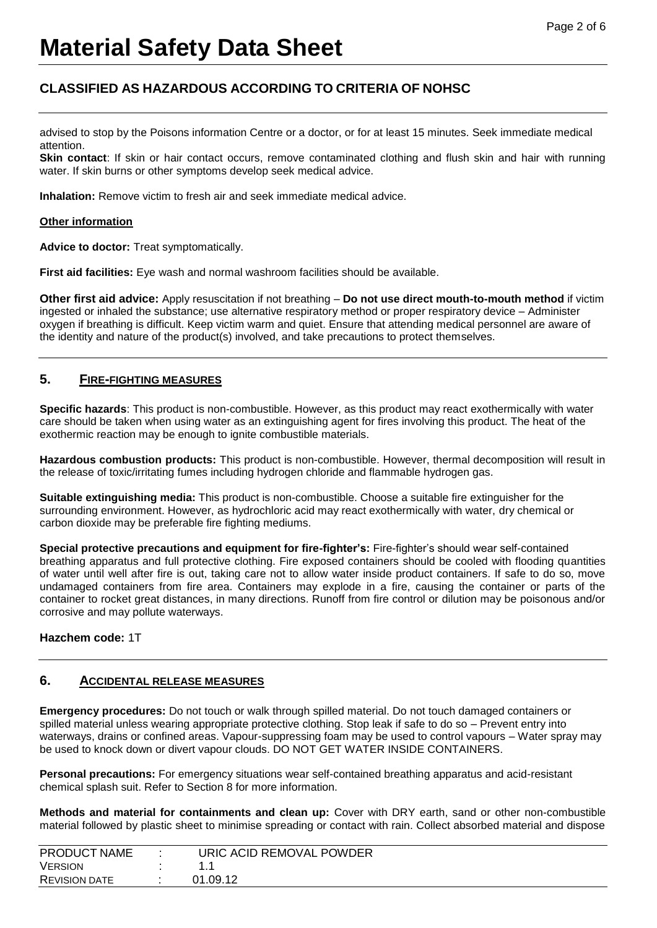# **CLASSIFIED AS HAZARDOUS ACCORDING TO CRITERIA OF NOHSC**

advised to stop by the Poisons information Centre or a doctor, or for at least 15 minutes. Seek immediate medical attention.

**Skin contact**: If skin or hair contact occurs, remove contaminated clothing and flush skin and hair with running water. If skin burns or other symptoms develop seek medical advice.

**Inhalation:** Remove victim to fresh air and seek immediate medical advice.

#### **Other information**

**Advice to doctor:** Treat symptomatically.

**First aid facilities:** Eye wash and normal washroom facilities should be available.

**Other first aid advice:** Apply resuscitation if not breathing – **Do not use direct mouth-to-mouth method** if victim ingested or inhaled the substance; use alternative respiratory method or proper respiratory device – Administer oxygen if breathing is difficult. Keep victim warm and quiet. Ensure that attending medical personnel are aware of the identity and nature of the product(s) involved, and take precautions to protect themselves.

# **5. FIRE-FIGHTING MEASURES**

**Specific hazards**: This product is non-combustible. However, as this product may react exothermically with water care should be taken when using water as an extinguishing agent for fires involving this product. The heat of the exothermic reaction may be enough to ignite combustible materials.

**Hazardous combustion products:** This product is non-combustible. However, thermal decomposition will result in the release of toxic/irritating fumes including hydrogen chloride and flammable hydrogen gas.

**Suitable extinguishing media:** This product is non-combustible. Choose a suitable fire extinguisher for the surrounding environment. However, as hydrochloric acid may react exothermically with water, dry chemical or carbon dioxide may be preferable fire fighting mediums.

**Special protective precautions and equipment for fire-fighter's:** Fire-fighter's should wear self-contained breathing apparatus and full protective clothing. Fire exposed containers should be cooled with flooding quantities of water until well after fire is out, taking care not to allow water inside product containers. If safe to do so, move undamaged containers from fire area. Containers may explode in a fire, causing the container or parts of the container to rocket great distances, in many directions. Runoff from fire control or dilution may be poisonous and/or corrosive and may pollute waterways.

### **Hazchem code:** 1T

# **6. ACCIDENTAL RELEASE MEASURES**

**Emergency procedures:** Do not touch or walk through spilled material. Do not touch damaged containers or spilled material unless wearing appropriate protective clothing. Stop leak if safe to do so – Prevent entry into waterways, drains or confined areas. Vapour-suppressing foam may be used to control vapours – Water spray may be used to knock down or divert vapour clouds. DO NOT GET WATER INSIDE CONTAINERS.

**Personal precautions:** For emergency situations wear self-contained breathing apparatus and acid-resistant chemical splash suit. Refer to Section 8 for more information.

**Methods and material for containments and clean up:** Cover with DRY earth, sand or other non-combustible material followed by plastic sheet to minimise spreading or contact with rain. Collect absorbed material and dispose

| <b>PRODUCT NAME</b>  | URIC ACID REMOVAL POWDER |  |
|----------------------|--------------------------|--|
| <b>VERSION</b>       |                          |  |
| <b>REVISION DATE</b> | 01.09.12                 |  |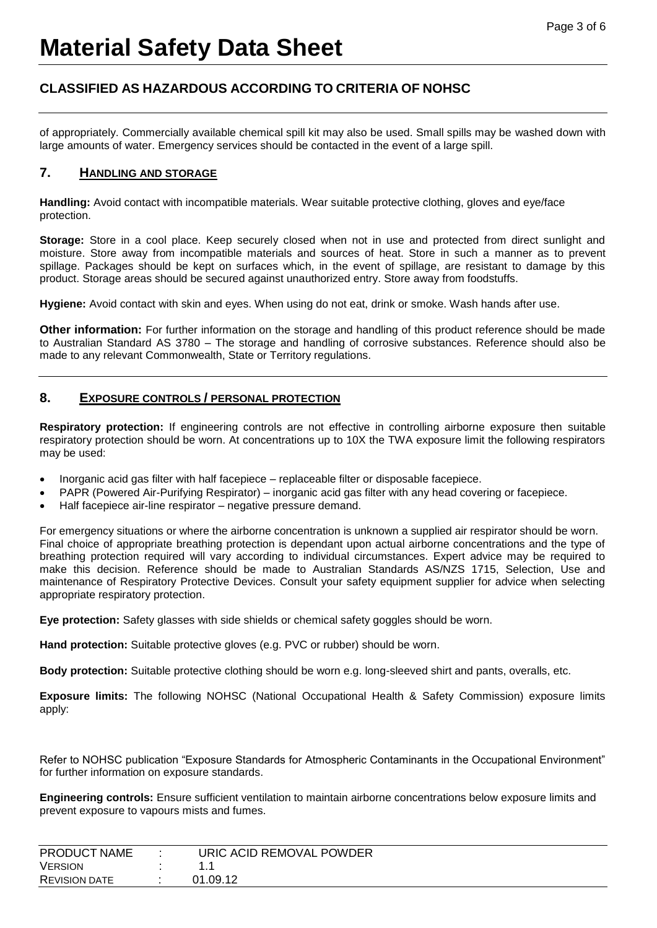# **CLASSIFIED AS HAZARDOUS ACCORDING TO CRITERIA OF NOHSC**

of appropriately. Commercially available chemical spill kit may also be used. Small spills may be washed down with large amounts of water. Emergency services should be contacted in the event of a large spill.

# **7. HANDLING AND STORAGE**

**Handling:** Avoid contact with incompatible materials. Wear suitable protective clothing, gloves and eye/face protection.

**Storage:** Store in a cool place. Keep securely closed when not in use and protected from direct sunlight and moisture. Store away from incompatible materials and sources of heat. Store in such a manner as to prevent spillage. Packages should be kept on surfaces which, in the event of spillage, are resistant to damage by this product. Storage areas should be secured against unauthorized entry. Store away from foodstuffs.

**Hygiene:** Avoid contact with skin and eyes. When using do not eat, drink or smoke. Wash hands after use.

**Other information:** For further information on the storage and handling of this product reference should be made to Australian Standard AS 3780 – The storage and handling of corrosive substances. Reference should also be made to any relevant Commonwealth, State or Territory regulations.

# **8. EXPOSURE CONTROLS / PERSONAL PROTECTION**

**Respiratory protection:** If engineering controls are not effective in controlling airborne exposure then suitable respiratory protection should be worn. At concentrations up to 10X the TWA exposure limit the following respirators may be used:

- Inorganic acid gas filter with half facepiece replaceable filter or disposable facepiece.
- PAPR (Powered Air-Purifying Respirator) inorganic acid gas filter with any head covering or facepiece.
- Half facepiece air-line respirator negative pressure demand.

For emergency situations or where the airborne concentration is unknown a supplied air respirator should be worn. Final choice of appropriate breathing protection is dependant upon actual airborne concentrations and the type of breathing protection required will vary according to individual circumstances. Expert advice may be required to make this decision. Reference should be made to Australian Standards AS/NZS 1715, Selection, Use and maintenance of Respiratory Protective Devices. Consult your safety equipment supplier for advice when selecting appropriate respiratory protection.

**Eye protection:** Safety glasses with side shields or chemical safety goggles should be worn.

Hand protection: Suitable protective gloves (e.g. PVC or rubber) should be worn.

**Body protection:** Suitable protective clothing should be worn e.g. long-sleeved shirt and pants, overalls, etc.

**Exposure limits:** The following NOHSC (National Occupational Health & Safety Commission) exposure limits apply:

Refer to NOHSC publication "Exposure Standards for Atmospheric Contaminants in the Occupational Environment" for further information on exposure standards.

**Engineering controls:** Ensure sufficient ventilation to maintain airborne concentrations below exposure limits and prevent exposure to vapours mists and fumes.

| <b>PRODUCT NAME</b>  | URIC ACID REMOVAL POWDER |  |
|----------------------|--------------------------|--|
| <b>VERSION</b>       | .                        |  |
| <b>REVISION DATE</b> | 01.09.12                 |  |
|                      |                          |  |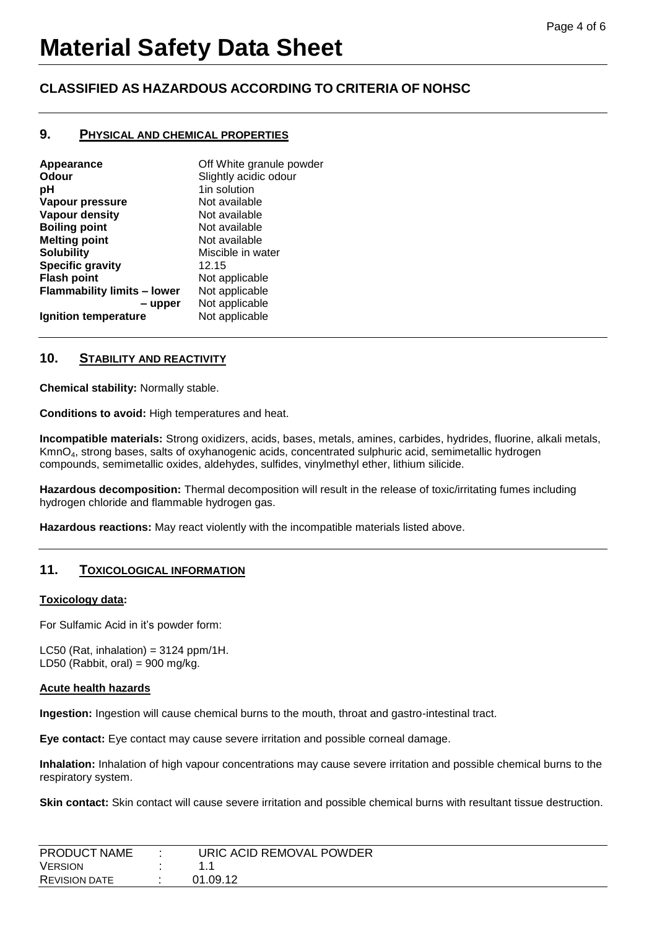# **CLASSIFIED AS HAZARDOUS ACCORDING TO CRITERIA OF NOHSC**

## **9. PHYSICAL AND CHEMICAL PROPERTIES**

| Off White granule powder |
|--------------------------|
| Slightly acidic odour    |
| 1in solution             |
| Not available            |
| Not available            |
| Not available            |
| Not available            |
| Miscible in water        |
| 12.15                    |
| Not applicable           |
| Not applicable           |
| Not applicable           |
| Not applicable           |
|                          |

# **10. STABILITY AND REACTIVITY**

**Chemical stability:** Normally stable.

**Conditions to avoid:** High temperatures and heat.

**Incompatible materials:** Strong oxidizers, acids, bases, metals, amines, carbides, hydrides, fluorine, alkali metals, KmnO4, strong bases, salts of oxyhanogenic acids, concentrated sulphuric acid, semimetallic hydrogen compounds, semimetallic oxides, aldehydes, sulfides, vinylmethyl ether, lithium silicide.

**Hazardous decomposition:** Thermal decomposition will result in the release of toxic/irritating fumes including hydrogen chloride and flammable hydrogen gas.

**Hazardous reactions:** May react violently with the incompatible materials listed above.

# **11. TOXICOLOGICAL INFORMATION**

### **Toxicology data:**

For Sulfamic Acid in it's powder form:

LC50 (Rat, inhalation) =  $3124$  ppm/1H. LD50 (Rabbit, oral) =  $900$  mg/kg.

#### **Acute health hazards**

**Ingestion:** Ingestion will cause chemical burns to the mouth, throat and gastro-intestinal tract.

**Eye contact:** Eye contact may cause severe irritation and possible corneal damage.

**Inhalation:** Inhalation of high vapour concentrations may cause severe irritation and possible chemical burns to the respiratory system.

**Skin contact:** Skin contact will cause severe irritation and possible chemical burns with resultant tissue destruction.

| PRODUCT NAME         | URIC ACID REMOVAL POWDER |
|----------------------|--------------------------|
| <b>VERSION</b>       |                          |
| <b>REVISION DATE</b> | 01.09.12                 |
|                      |                          |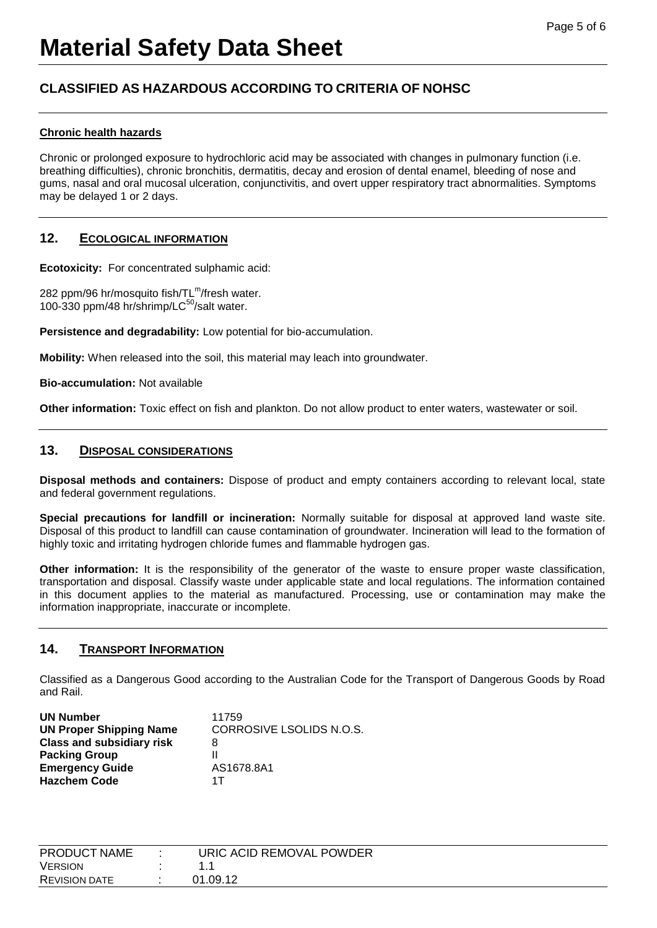# **CLASSIFIED AS HAZARDOUS ACCORDING TO CRITERIA OF NOHSC**

# **Chronic health hazards**

Chronic or prolonged exposure to hydrochloric acid may be associated with changes in pulmonary function (i.e. breathing difficulties), chronic bronchitis, dermatitis, decay and erosion of dental enamel, bleeding of nose and gums, nasal and oral mucosal ulceration, conjunctivitis, and overt upper respiratory tract abnormalities. Symptoms may be delayed 1 or 2 days.

# **12. ECOLOGICAL INFORMATION**

**Ecotoxicity:** For concentrated sulphamic acid:

282 ppm/96 hr/mosquito fish/TL<sup>m</sup>/fresh water. 100-330 ppm/48 hr/shrimp/L $C^{50}$ /salt water.

**Persistence and degradability:** Low potential for bio-accumulation.

**Mobility:** When released into the soil, this material may leach into groundwater.

**Bio-accumulation:** Not available

**Other information:** Toxic effect on fish and plankton. Do not allow product to enter waters, wastewater or soil.

# **13. DISPOSAL CONSIDERATIONS**

**Disposal methods and containers:** Dispose of product and empty containers according to relevant local, state and federal government regulations.

**Special precautions for landfill or incineration:** Normally suitable for disposal at approved land waste site. Disposal of this product to landfill can cause contamination of groundwater. Incineration will lead to the formation of highly toxic and irritating hydrogen chloride fumes and flammable hydrogen gas.

**Other information:** It is the responsibility of the generator of the waste to ensure proper waste classification, transportation and disposal. Classify waste under applicable state and local regulations. The information contained in this document applies to the material as manufactured. Processing, use or contamination may make the information inappropriate, inaccurate or incomplete.

# **14. TRANSPORT INFORMATION**

Classified as a Dangerous Good according to the Australian Code for the Transport of Dangerous Goods by Road and Rail.

| <b>UN Number</b>                 | 11759                    |
|----------------------------------|--------------------------|
| <b>UN Proper Shipping Name</b>   | CORROSIVE LSOLIDS N.O.S. |
| <b>Class and subsidiary risk</b> | 8                        |
| <b>Packing Group</b>             |                          |
| <b>Emergency Guide</b>           | AS1678.8A1               |
| <b>Hazchem Code</b>              | 1 T                      |

| PRODUCT NAME         | URIC ACID REMOVAL POWDER |
|----------------------|--------------------------|
| <b>VERSION</b>       |                          |
| <b>REVISION DATE</b> | 01.09.12                 |
|                      |                          |